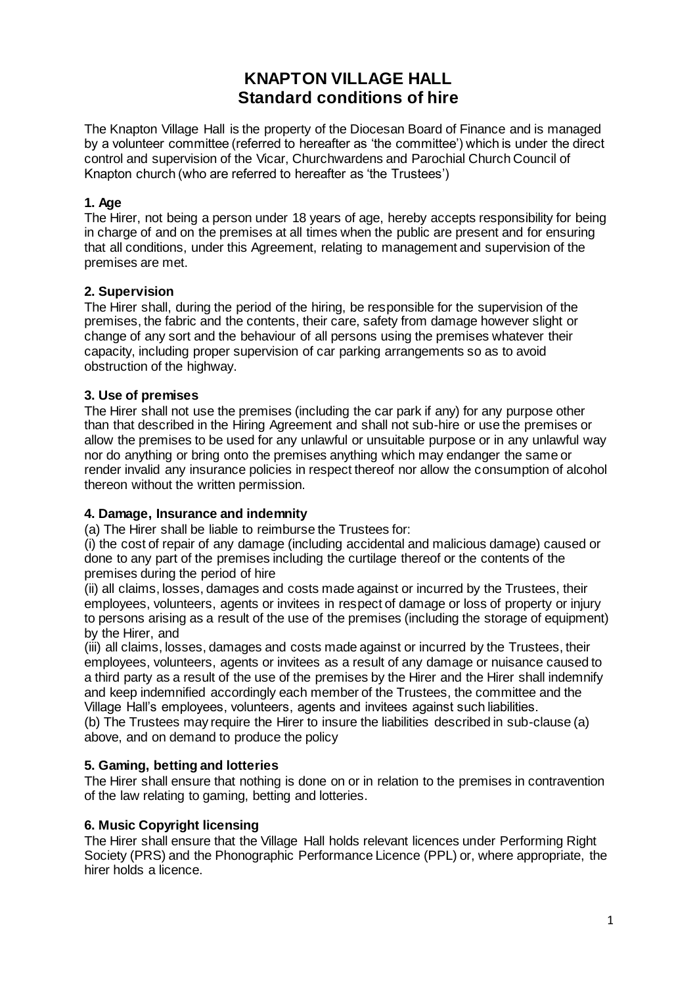# **KNAPTON VILLAGE HALL Standard conditions of hire**

The Knapton Village Hall is the property of the Diocesan Board of Finance and is managed by a volunteer committee (referred to hereafter as 'the committee') which is under the direct control and supervision of the Vicar, Churchwardens and Parochial Church Council of Knapton church (who are referred to hereafter as 'the Trustees')

## **1. Age**

The Hirer, not being a person under 18 years of age, hereby accepts responsibility for being in charge of and on the premises at all times when the public are present and for ensuring that all conditions, under this Agreement, relating to management and supervision of the premises are met.

## **2. Supervision**

The Hirer shall, during the period of the hiring, be responsible for the supervision of the premises, the fabric and the contents, their care, safety from damage however slight or change of any sort and the behaviour of all persons using the premises whatever their capacity, including proper supervision of car parking arrangements so as to avoid obstruction of the highway.

## **3. Use of premises**

The Hirer shall not use the premises (including the car park if any) for any purpose other than that described in the Hiring Agreement and shall not sub-hire or use the premises or allow the premises to be used for any unlawful or unsuitable purpose or in any unlawful way nor do anything or bring onto the premises anything which may endanger the same or render invalid any insurance policies in respect thereof nor allow the consumption of alcohol thereon without the written permission.

# **4. Damage, Insurance and indemnity**

(a) The Hirer shall be liable to reimburse the Trustees for:

(i) the cost of repair of any damage (including accidental and malicious damage) caused or done to any part of the premises including the curtilage thereof or the contents of the premises during the period of hire

(ii) all claims, losses, damages and costs made against or incurred by the Trustees, their employees, volunteers, agents or invitees in respect of damage or loss of property or injury to persons arising as a result of the use of the premises (including the storage of equipment) by the Hirer, and

(iii) all claims, losses, damages and costs made against or incurred by the Trustees, their employees, volunteers, agents or invitees as a result of any damage or nuisance caused to a third party as a result of the use of the premises by the Hirer and the Hirer shall indemnify and keep indemnified accordingly each member of the Trustees, the committee and the Village Hall's employees, volunteers, agents and invitees against such liabilities.

(b) The Trustees may require the Hirer to insure the liabilities described in sub-clause (a) above, and on demand to produce the policy

# **5. Gaming, betting and lotteries**

The Hirer shall ensure that nothing is done on or in relation to the premises in contravention of the law relating to gaming, betting and lotteries.

### **6. Music Copyright licensing**

The Hirer shall ensure that the Village Hall holds relevant licences under Performing Right Society (PRS) and the Phonographic Performance Licence (PPL) or, where appropriate, the hirer holds a licence.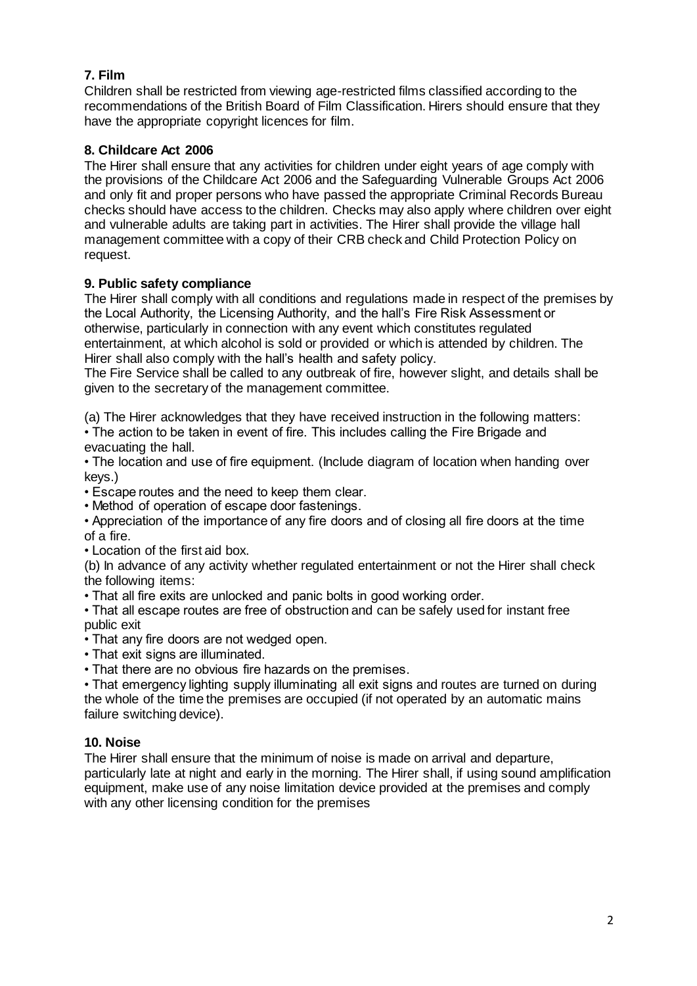# **7. Film**

Children shall be restricted from viewing age-restricted films classified according to the recommendations of the British Board of Film Classification. Hirers should ensure that they have the appropriate copyright licences for film.

# **8. Childcare Act 2006**

The Hirer shall ensure that any activities for children under eight years of age comply with the provisions of the Childcare Act 2006 and the Safeguarding Vulnerable Groups Act 2006 and only fit and proper persons who have passed the appropriate Criminal Records Bureau checks should have access to the children. Checks may also apply where children over eight and vulnerable adults are taking part in activities. The Hirer shall provide the village hall management committee with a copy of their CRB check and Child Protection Policy on request.

# **9. Public safety compliance**

The Hirer shall comply with all conditions and regulations made in respect of the premises by the Local Authority, the Licensing Authority, and the hall's Fire Risk Assessment or otherwise, particularly in connection with any event which constitutes regulated entertainment, at which alcohol is sold or provided or which is attended by children. The Hirer shall also comply with the hall's health and safety policy.

The Fire Service shall be called to any outbreak of fire, however slight, and details shall be given to the secretary of the management committee.

(a) The Hirer acknowledges that they have received instruction in the following matters: • The action to be taken in event of fire. This includes calling the Fire Brigade and evacuating the hall.

• The location and use of fire equipment. (Include diagram of location when handing over keys.)

• Escape routes and the need to keep them clear.

• Method of operation of escape door fastenings.

• Appreciation of the importance of any fire doors and of closing all fire doors at the time of a fire.

• Location of the first aid box.

(b) In advance of any activity whether regulated entertainment or not the Hirer shall check the following items:

• That all fire exits are unlocked and panic bolts in good working order.

• That all escape routes are free of obstruction and can be safely used for instant free public exit

• That any fire doors are not wedged open.

• That exit signs are illuminated.

• That there are no obvious fire hazards on the premises.

• That emergency lighting supply illuminating all exit signs and routes are turned on during the whole of the time the premises are occupied (if not operated by an automatic mains failure switching device).

# **10. Noise**

The Hirer shall ensure that the minimum of noise is made on arrival and departure, particularly late at night and early in the morning. The Hirer shall, if using sound amplification equipment, make use of any noise limitation device provided at the premises and comply with any other licensing condition for the premises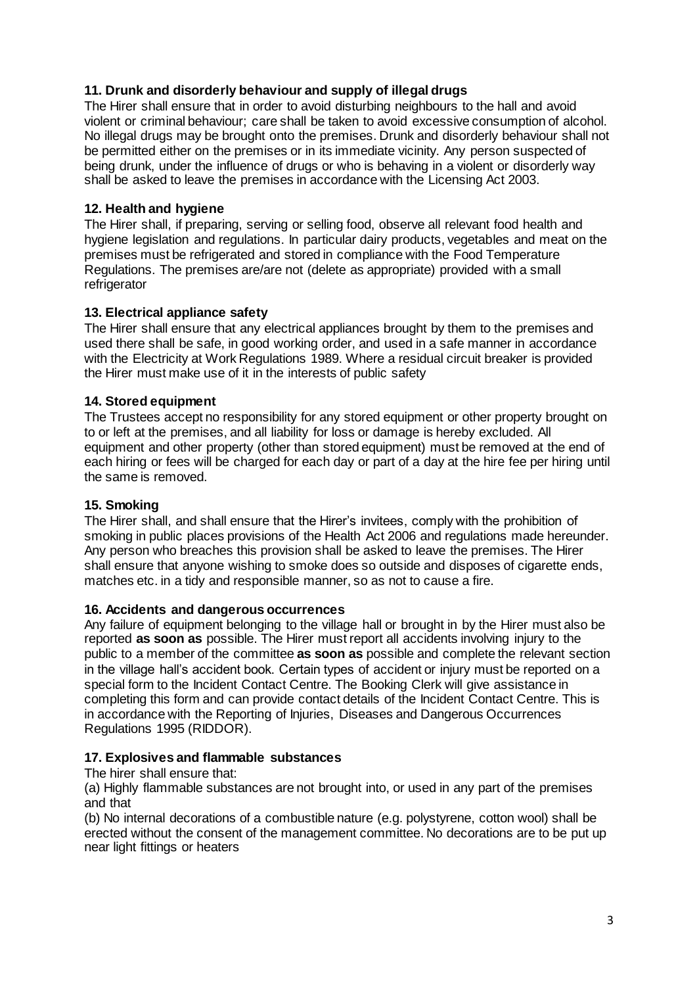# **11. Drunk and disorderly behaviour and supply of illegal drugs**

The Hirer shall ensure that in order to avoid disturbing neighbours to the hall and avoid violent or criminal behaviour; care shall be taken to avoid excessive consumption of alcohol. No illegal drugs may be brought onto the premises. Drunk and disorderly behaviour shall not be permitted either on the premises or in its immediate vicinity. Any person suspected of being drunk, under the influence of drugs or who is behaving in a violent or disorderly way shall be asked to leave the premises in accordance with the Licensing Act 2003.

## **12. Health and hygiene**

The Hirer shall, if preparing, serving or selling food, observe all relevant food health and hygiene legislation and regulations. In particular dairy products, vegetables and meat on the premises must be refrigerated and stored in compliance with the Food Temperature Regulations. The premises are/are not (delete as appropriate) provided with a small refrigerator

## **13. Electrical appliance safety**

The Hirer shall ensure that any electrical appliances brought by them to the premises and used there shall be safe, in good working order, and used in a safe manner in accordance with the Electricity at Work Regulations 1989. Where a residual circuit breaker is provided the Hirer must make use of it in the interests of public safety

### **14. Stored equipment**

The Trustees accept no responsibility for any stored equipment or other property brought on to or left at the premises, and all liability for loss or damage is hereby excluded. All equipment and other property (other than stored equipment) must be removed at the end of each hiring or fees will be charged for each day or part of a day at the hire fee per hiring until the same is removed.

### **15. Smoking**

The Hirer shall, and shall ensure that the Hirer's invitees, comply with the prohibition of smoking in public places provisions of the Health Act 2006 and regulations made hereunder. Any person who breaches this provision shall be asked to leave the premises. The Hirer shall ensure that anyone wishing to smoke does so outside and disposes of cigarette ends, matches etc. in a tidy and responsible manner, so as not to cause a fire.

### **16. Accidents and dangerous occurrences**

Any failure of equipment belonging to the village hall or brought in by the Hirer must also be reported **as soon as** possible. The Hirer must report all accidents involving injury to the public to a member of the committee **as soon as** possible and complete the relevant section in the village hall's accident book. Certain types of accident or injury must be reported on a special form to the Incident Contact Centre. The Booking Clerk will give assistance in completing this form and can provide contact details of the Incident Contact Centre. This is in accordance with the Reporting of Injuries, Diseases and Dangerous Occurrences Regulations 1995 (RIDDOR).

### **17. Explosives and flammable substances**

The hirer shall ensure that:

(a) Highly flammable substances are not brought into, or used in any part of the premises and that

(b) No internal decorations of a combustible nature (e.g. polystyrene, cotton wool) shall be erected without the consent of the management committee. No decorations are to be put up near light fittings or heaters